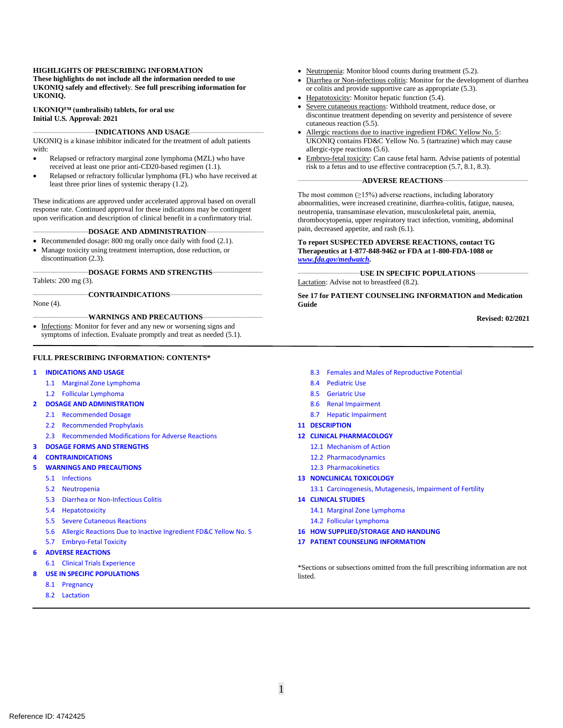#### **HIGHLIGHTS OF PRESCRIBING INFORMATION**

**These highlights do not include all the information needed to use UKONIQ safely and effectivel**y. **See full prescribing information for UKONIQ.**

**UKONIQ™ (umbralisib) tablets, for oral use Initial U.S. Approval: 2021**

#### \_\_\_\_\_\_\_\_\_\_\_\_\_\_\_\_\_\_\_\_\_\_\_\_\_\_\_**INDICATIONS AND USAGE**\_\_\_\_\_\_\_\_\_\_\_\_\_\_\_\_\_\_\_\_\_\_\_\_\_\_\_\_\_\_\_\_

UKONIQ is a kinase inhibitor indicated for the treatment of adult patients with:

- Relapsed or refractory marginal zone lymphoma (MZL) who have received at least one prior anti-CD20-based regimen (1.1).
- Relapsed or refractory follicular lymphoma (FL) who have received at least three prior lines of systemic therapy (1.2).

These indications are approved under accelerated approval based on overall response rate. Continued approval for these indications may be contingent upon verification and description of clinical benefit in a confirmatory trial.

#### \_\_\_\_\_\_\_\_\_\_\_\_\_\_\_\_\_\_\_\_\_\_\_\_**DOSAGE AND ADMINISTRATION**\_\_\_\_\_\_\_\_\_\_\_\_\_\_\_\_\_\_\_\_\_\_\_\_\_

- Recommended dosage: 800 mg orally once daily with food (2.1).
- Manage toxicity using treatment interruption, dose reduction, or discontinuation (2.3).

\_\_\_\_\_\_\_\_\_\_\_\_\_\_\_\_\_\_\_\_\_\_\_\_**DOSAGE FORMS AND STRENGTHS**\_\_\_\_\_\_\_\_\_\_\_\_\_\_\_\_\_\_\_\_\_\_

Tablets: 200 mg (3).

#### \_\_\_\_\_\_\_\_\_\_\_\_\_\_\_\_\_\_\_\_\_\_\_\_**CONTRAINDICATIONS**\_\_\_\_\_\_\_\_\_\_\_\_\_\_\_\_\_\_\_\_\_\_\_\_\_\_\_\_\_\_\_\_\_\_\_\_\_\_\_\_

None (4).

#### WARNINGS AND PRECAUTIONS-

Infections: Monitor for fever and any new or worsening signs and symptoms of infection. Evaluate promptly and treat as needed (5.1).

#### **FULL PRESCRIBING INFORMATION: CONTENTS\***

#### **1 INDICATIONS AND USAGE**

- 1.1 Marginal Zone Lymphoma
- 1.2 Follicular Lymphoma
- **2 DOSAGE AND ADMINISTRATION** 
	- 2.1 Recommended Dosage
	- 2.2 Recommended Prophylaxis
	- 2.3 Recommended Modifications for Adverse Reactions

#### **3 DOSAGE FORMS AND STRENGTHS**

- **4 CONTRAINDICATIONS**
- **5 WARNINGS AND PRECAUTIONS**
	- 5.1 Infections
	- 5.2 Neutropenia
	- 5.3 Diarrhea or Non-Infectious Colitis
	- 5.4 Hepatotoxicity
	- 5.5 Severe Cutaneous Reactions
	- 5.6 Allergic Reactions Due to Inactive Ingredient FD&C Yellow No. 5
	- 5.7 Embryo-Fetal Toxicity
- **6 ADVERSE REACTIONS**
	- 6.1 Clinical Trials Experience
	- **USE IN SPECIFIC POPULATIONS**
	- 8.1 Pregnancy
	- 8.2 Lactation
- Neutropenia: Monitor blood counts during treatment (5.2).
- Diarrhea or Non-infectious colitis: Monitor for the development of diarrhea or colitis and provide supportive care as appropriate (5.3).
- Hepatotoxicity: Monitor hepatic function (5.4).
- Severe cutaneous reactions: Withhold treatment, reduce dose, or discontinue treatment depending on severity and persistence of severe cutaneous reaction (5.5).
- Allergic reactions due to inactive ingredient FD&C Yellow No. 5: UKONIQ contains FD&C Yellow No. 5 (tartrazine) which may cause allergic-type reactions (5.6).
- Embryo-fetal toxicity: Can cause fetal harm. Advise patients of potential risk to a fetus and to use effective contraception (5.7, 8.1, 8.3).

#### \_\_\_\_\_\_\_\_\_\_\_\_\_\_\_\_\_\_\_\_\_\_\_\_\_\_\_\_**ADVERSE REACTIONS**\_\_\_\_\_\_\_\_\_\_\_\_\_\_\_\_\_\_\_\_\_\_\_\_\_\_\_\_\_\_\_\_\_\_\_\_\_

The most common  $(>15%)$  adverse reactions, including laboratory abnormalities, were increased creatinine, diarrhea-colitis, fatigue, nausea, neutropenia, transaminase elevation, musculoskeletal pain, anemia, thrombocytopenia, upper respiratory tract infection, vomiting, abdominal pain, decreased appetite, and rash (6.1).

#### **To report SUSPECTED ADVERSE REACTIONS, contact TG Therapeutics at 1-877-848-9462 or FDA at 1-800-FDA-1088 or**  *[www.fda.gov/medwatch.](http://www.fda.gov/medwatch)*

\_\_\_\_\_\_\_\_\_\_\_\_\_\_\_\_\_\_\_\_\_\_\_\_\_\_\_**USE IN SPECIFIC POPULATIONS**\_\_\_\_\_\_\_\_\_\_\_\_\_\_\_\_\_\_\_\_\_\_\_ Lactation: Advise not to breastfeed (8.2).

**See 17 for PATIENT COUNSELING INFORMATION and Medication Guide**

**Revised: 02/2021**

- 8.3 Females and Males of Reproductive Potential
- 8.4 Pediatric Use
- 8.5 Geriatric Use
- 8.6 Renal Impairment
- 8.7 Hepatic Impairment
- **11 DESCRIPTION**
- **12 CLINICAL PHARMACOLOGY**
	- 12.1 Mechanism of Action
	- 12.2 Pharmacodynamics
	- 12.3 Pharmacokinetics
- **13 NONCLINICAL TOXICOLOGY**
	- 13.1 Carcinogenesis, Mutagenesis, Impairment of Fertility
- **14 CLINICAL STUDIES**
	- 14.1 Marginal Zone Lymphoma
	- 14.2 Follicular Lymphoma
- **16 HOW SUPPLIED/STORAGE AND HANDLING**
- **17 PATIENT COUNSELING INFORMATION**

\*Sections or subsections omitted from the full prescribing information are not listed.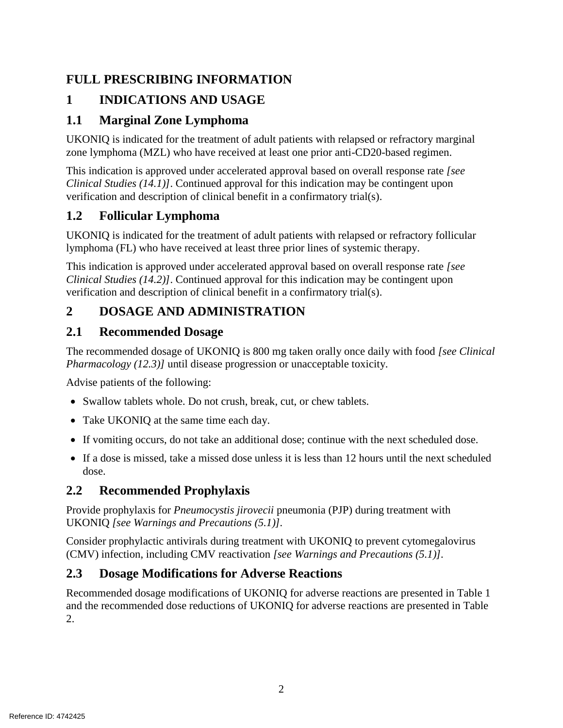## **FULL PRESCRIBING INFORMATION**

# **1 INDICATIONS AND USAGE**

## **1.1 Marginal Zone Lymphoma**

UKONIQ is indicated for the treatment of adult patients with relapsed or refractory marginal zone lymphoma (MZL) who have received at least one prior anti-CD20-based regimen.

This indication is approved under accelerated approval based on overall response rate *[see Clinical Studies (14.1)]*. Continued approval for this indication may be contingent upon verification and description of clinical benefit in a confirmatory trial(s).

## **1.2 Follicular Lymphoma**

UKONIQ is indicated for the treatment of adult patients with relapsed or refractory follicular lymphoma (FL) who have received at least three prior lines of systemic therapy.

This indication is approved under accelerated approval based on overall response rate *[see Clinical Studies (14.2)]*. Continued approval for this indication may be contingent upon verification and description of clinical benefit in a confirmatory trial(s).

# **2 DOSAGE AND ADMINISTRATION**

### **2.1 Recommended Dosage**

The recommended dosage of UKONIQ is 800 mg taken orally once daily with food *[see Clinical Pharmacology (12.3)]* until disease progression or unacceptable toxicity.

Advise patients of the following:

- Swallow tablets whole. Do not crush, break, cut, or chew tablets.
- Take UKONIO at the same time each day.
- If vomiting occurs, do not take an additional dose; continue with the next scheduled dose.
- If a dose is missed, take a missed dose unless it is less than 12 hours until the next scheduled dose.

## **2.2 Recommended Prophylaxis**

Provide prophylaxis for *Pneumocystis jirovecii* pneumonia (PJP) during treatment with UKONIQ *[see Warnings and Precautions (5.1)].*

Consider prophylactic antivirals during treatment with UKONIQ to prevent cytomegalovirus (CMV) infection, including CMV reactivation *[see Warnings and Precautions (5.1)].*

### **2.3 Dosage Modifications for Adverse Reactions**

Recommended dosage modifications of UKONIQ for adverse reactions are presented in Table 1 and the recommended dose reductions of UKONIQ for adverse reactions are presented in Table 2.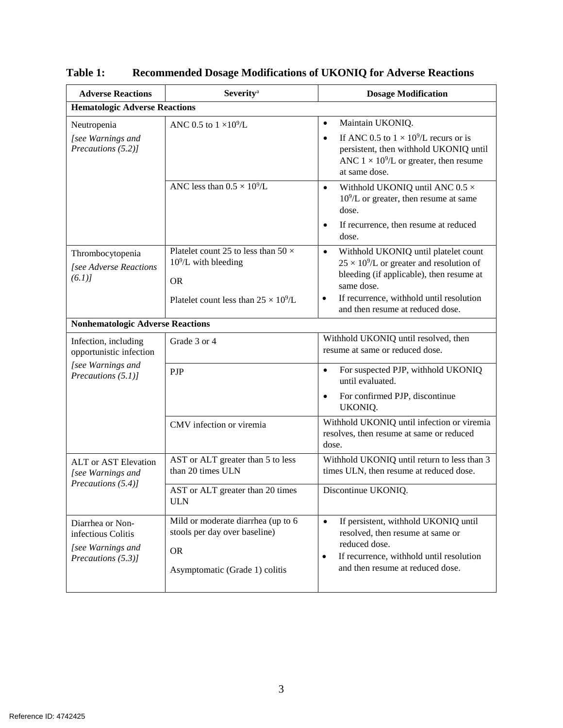| <b>Adverse Reactions</b>                                                                   | <b>Severity</b> <sup>a</sup>                                                                                                       | <b>Dosage Modification</b>                                                                                                                                                                                                                      |  |
|--------------------------------------------------------------------------------------------|------------------------------------------------------------------------------------------------------------------------------------|-------------------------------------------------------------------------------------------------------------------------------------------------------------------------------------------------------------------------------------------------|--|
| <b>Hematologic Adverse Reactions</b>                                                       |                                                                                                                                    |                                                                                                                                                                                                                                                 |  |
| Neutropenia<br>[see Warnings and<br>Precautions (5.2)]                                     | ANC 0.5 to $1 \times 10^9$ /L                                                                                                      | Maintain UKONIQ.<br>$\bullet$<br>If ANC 0.5 to $1 \times 10^9$ /L recurs or is<br>$\bullet$<br>persistent, then withhold UKONIQ until<br>ANC $1 \times 10^9$ /L or greater, then resume<br>at same dose.                                        |  |
|                                                                                            | ANC less than $0.5 \times 10^9$ /L                                                                                                 | Withhold UKONIQ until ANC 0.5 $\times$<br>$\bullet$<br>$10^9$ /L or greater, then resume at same<br>dose.<br>If recurrence, then resume at reduced<br>$\bullet$<br>dose.                                                                        |  |
| Thrombocytopenia<br>[see Adverse Reactions<br>(6.1)                                        | Platelet count 25 to less than 50 $\times$<br>$10^9$ /L with bleeding<br><b>OR</b><br>Platelet count less than $25 \times 10^9$ /L | Withhold UKONIQ until platelet count<br>$\bullet$<br>$25 \times 10^9$ /L or greater and resolution of<br>bleeding (if applicable), then resume at<br>same dose.<br>If recurrence, withhold until resolution<br>and then resume at reduced dose. |  |
| <b>Nonhematologic Adverse Reactions</b>                                                    |                                                                                                                                    |                                                                                                                                                                                                                                                 |  |
| Infection, including<br>opportunistic infection<br>[see Warnings and<br>Precautions (5.1)] | Grade 3 or 4                                                                                                                       | Withhold UKONIQ until resolved, then<br>resume at same or reduced dose.                                                                                                                                                                         |  |
|                                                                                            | PJP                                                                                                                                | For suspected PJP, withhold UKONIQ<br>$\bullet$<br>until evaluated.<br>For confirmed PJP, discontinue<br>$\bullet$<br>UKONIQ.                                                                                                                   |  |
|                                                                                            | CMV infection or viremia                                                                                                           | Withhold UKONIQ until infection or viremia<br>resolves, then resume at same or reduced<br>dose.                                                                                                                                                 |  |
| <b>ALT</b> or AST Elevation<br>[see Warnings and<br>Precautions (5.4)]                     | AST or ALT greater than 5 to less<br>than 20 times ULN                                                                             | Withhold UKONIQ until return to less than 3<br>times ULN, then resume at reduced dose.                                                                                                                                                          |  |
|                                                                                            | AST or ALT greater than 20 times<br><b>ULN</b>                                                                                     | Discontinue UKONIQ.                                                                                                                                                                                                                             |  |
| Diarrhea or Non-<br>infectious Colitis<br>[see Warnings and<br>Precautions (5.3)]          | Mild or moderate diarrhea (up to 6<br>stools per day over baseline)<br><b>OR</b><br>Asymptomatic (Grade 1) colitis                 | If persistent, withhold UKONIQ until<br>$\bullet$<br>resolved, then resume at same or<br>reduced dose.<br>If recurrence, withhold until resolution<br>$\bullet$<br>and then resume at reduced dose.                                             |  |

**Table 1: Recommended Dosage Modifications of UKONIQ for Adverse Reactions**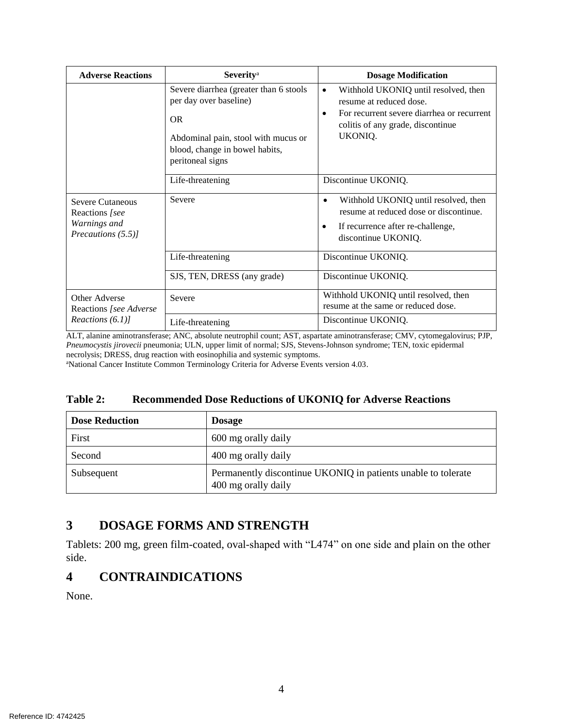| <b>Adverse Reactions</b>                                                        | <b>Severity</b> <sup>a</sup>                                                                                                                                               | <b>Dosage Modification</b>                                                                                                                                                 |
|---------------------------------------------------------------------------------|----------------------------------------------------------------------------------------------------------------------------------------------------------------------------|----------------------------------------------------------------------------------------------------------------------------------------------------------------------------|
|                                                                                 | Severe diarrhea (greater than 6 stools<br>per day over baseline)<br><b>OR</b><br>Abdominal pain, stool with mucus or<br>blood, change in bowel habits,<br>peritoneal signs | Withhold UKONIQ until resolved, then<br>$\bullet$<br>resume at reduced dose.<br>For recurrent severe diarrhea or recurrent<br>colitis of any grade, discontinue<br>UKONIQ. |
|                                                                                 | Life-threatening                                                                                                                                                           | Discontinue UKONIQ.                                                                                                                                                        |
| <b>Severe Cutaneous</b><br>Reactions [see<br>Warnings and<br>Precautions (5.5)] | Severe                                                                                                                                                                     | Withhold UKONIQ until resolved, then<br>$\bullet$<br>resume at reduced dose or discontinue.<br>If recurrence after re-challenge,<br>discontinue UKONIQ.                    |
|                                                                                 | Life-threatening                                                                                                                                                           | Discontinue UKONIQ.                                                                                                                                                        |
|                                                                                 | SJS, TEN, DRESS (any grade)                                                                                                                                                | Discontinue UKONIQ.                                                                                                                                                        |
| Other Adverse<br>Reactions [see Adverse<br>Reactions $(6.1)$ ]                  | Severe                                                                                                                                                                     | Withhold UKONIQ until resolved, then<br>resume at the same or reduced dose.                                                                                                |
|                                                                                 | Life-threatening                                                                                                                                                           | Discontinue UKONIQ.                                                                                                                                                        |

ALT, alanine aminotransferase; ANC, absolute neutrophil count; AST, aspartate aminotransferase; CMV, cytomegalovirus; PJP, *Pneumocystis jirovecii* pneumonia; ULN, upper limit of normal; SJS, Stevens-Johnson syndrome; TEN, toxic epidermal necrolysis; DRESS, drug reaction with eosinophilia and systemic symptoms.

<sup>a</sup>National Cancer Institute Common Terminology Criteria for Adverse Events version 4.03.

#### **Table 2: Recommended Dose Reductions of UKONIQ for Adverse Reactions**

| <b>Dose Reduction</b> | <b>Dosage</b>                                                                        |
|-----------------------|--------------------------------------------------------------------------------------|
| First                 | 600 mg orally daily                                                                  |
| Second                | 400 mg orally daily                                                                  |
| Subsequent            | Permanently discontinue UKONIQ in patients unable to tolerate<br>400 mg orally daily |

### **3 DOSAGE FORMS AND STRENGTH**

Tablets: 200 mg, green film-coated, oval-shaped with "L474" on one side and plain on the other side.

### **4 CONTRAINDICATIONS**

None.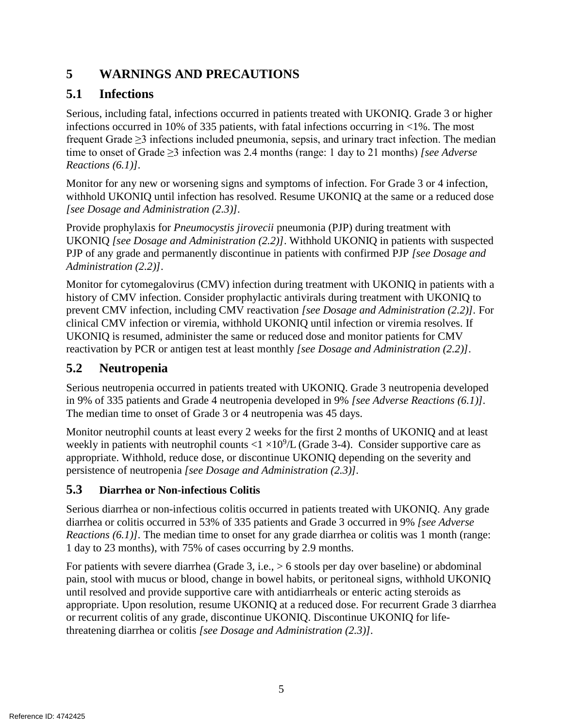# **5 WARNINGS AND PRECAUTIONS**

# **5.1 Infections**

Serious, including fatal, infections occurred in patients treated with UKONIQ. Grade 3 or higher infections occurred in 10% of 335 patients, with fatal infections occurring in <1%. The most frequent Grade ≥3 infections included pneumonia, sepsis, and urinary tract infection. The median time to onset of Grade ≥3 infection was 2.4 months (range: 1 day to 21 months) *[see Adverse Reactions (6.1)].*

Monitor for any new or worsening signs and symptoms of infection. For Grade 3 or 4 infection, withhold UKONIQ until infection has resolved. Resume UKONIQ at the same or a reduced dose *[see Dosage and Administration (2.3)].*

Provide prophylaxis for *Pneumocystis jirovecii* pneumonia (PJP) during treatment with UKONIQ *[see Dosage and Administration (2.2)]*. Withhold UKONIQ in patients with suspected PJP of any grade and permanently discontinue in patients with confirmed PJP *[see Dosage and Administration (2.2)]*.

Monitor for cytomegalovirus (CMV) infection during treatment with UKONIQ in patients with a history of CMV infection. Consider prophylactic antivirals during treatment with UKONIQ to prevent CMV infection, including CMV reactivation *[see Dosage and Administration (2.2)].* For clinical CMV infection or viremia, withhold UKONIQ until infection or viremia resolves. If UKONIQ is resumed, administer the same or reduced dose and monitor patients for CMV reactivation by PCR or antigen test at least monthly *[see Dosage and Administration (2.2)]*.

# **5.2 Neutropenia**

Serious neutropenia occurred in patients treated with UKONIQ. Grade 3 neutropenia developed in 9% of 335 patients and Grade 4 neutropenia developed in 9% *[see Adverse Reactions (6.1)].* The median time to onset of Grade 3 or 4 neutropenia was 45 days.

Monitor neutrophil counts at least every 2 weeks for the first 2 months of UKONIQ and at least weekly in patients with neutrophil counts  $<$  1  $\times$  10<sup>9</sup>/L (Grade 3-4). Consider supportive care as appropriate. Withhold, reduce dose, or discontinue UKONIQ depending on the severity and persistence of neutropenia *[see Dosage and Administration (2.3)].*

### **5.3 Diarrhea or Non-infectious Colitis**

Serious diarrhea or non-infectious colitis occurred in patients treated with UKONIQ. Any grade diarrhea or colitis occurred in 53% of 335 patients and Grade 3 occurred in 9% *[see Adverse Reactions (6.1)].* The median time to onset for any grade diarrhea or colitis was 1 month (range: 1 day to 23 months), with 75% of cases occurring by 2.9 months.

For patients with severe diarrhea (Grade 3, i.e., > 6 stools per day over baseline) or abdominal pain, stool with mucus or blood, change in bowel habits, or peritoneal signs, withhold UKONIQ until resolved and provide supportive care with antidiarrheals or enteric acting steroids as appropriate. Upon resolution, resume UKONIQ at a reduced dose. For recurrent Grade 3 diarrhea or recurrent colitis of any grade, discontinue UKONIQ. Discontinue UKONIQ for lifethreatening diarrhea or colitis *[see Dosage and Administration (2.3)].*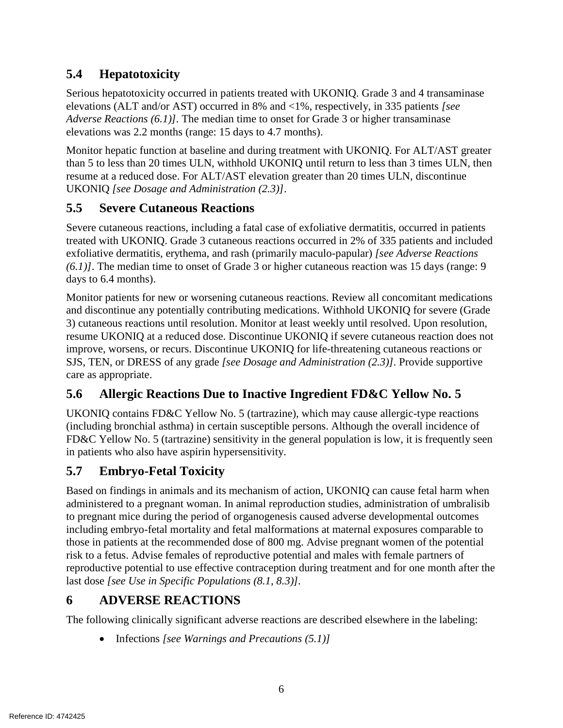# **5.4 Hepatotoxicity**

Serious hepatotoxicity occurred in patients treated with UKONIQ. Grade 3 and 4 transaminase elevations (ALT and/or AST) occurred in 8% and <1%, respectively, in 335 patients *[see Adverse Reactions (6.1)].* The median time to onset for Grade 3 or higher transaminase elevations was 2.2 months (range: 15 days to 4.7 months).

Monitor hepatic function at baseline and during treatment with UKONIQ. For ALT/AST greater than 5 to less than 20 times ULN, withhold UKONIQ until return to less than 3 times ULN, then resume at a reduced dose. For ALT/AST elevation greater than 20 times ULN, discontinue UKONIQ *[see Dosage and Administration (2.3)]*.

## **5.5 Severe Cutaneous Reactions**

Severe cutaneous reactions, including a fatal case of exfoliative dermatitis, occurred in patients treated with UKONIQ. Grade 3 cutaneous reactions occurred in 2% of 335 patients and included exfoliative dermatitis, erythema, and rash (primarily maculo-papular) *[see Adverse Reactions (6.1)]*. The median time to onset of Grade 3 or higher cutaneous reaction was 15 days (range: 9 days to 6.4 months).

Monitor patients for new or worsening cutaneous reactions. Review all concomitant medications and discontinue any potentially contributing medications. Withhold UKONIQ for severe (Grade 3) cutaneous reactions until resolution. Monitor at least weekly until resolved. Upon resolution, resume UKONIQ at a reduced dose. Discontinue UKONIQ if severe cutaneous reaction does not improve, worsens, or recurs. Discontinue UKONIQ for life-threatening cutaneous reactions or SJS, TEN, or DRESS of any grade *[see Dosage and Administration (2.3)].* Provide supportive care as appropriate.

## **5.6 Allergic Reactions Due to Inactive Ingredient FD&C Yellow No. 5**

UKONIQ contains FD&C Yellow No. 5 (tartrazine), which may cause allergic-type reactions (including bronchial asthma) in certain susceptible persons. Although the overall incidence of FD&C Yellow No. 5 (tartrazine) sensitivity in the general population is low, it is frequently seen in patients who also have aspirin hypersensitivity.

# **5.7 Embryo-Fetal Toxicity**

Based on findings in animals and its mechanism of action, UKONIQ can cause fetal harm when administered to a pregnant woman. In animal reproduction studies, administration of umbralisib to pregnant mice during the period of organogenesis caused adverse developmental outcomes including embryo-fetal mortality and fetal malformations at maternal exposures comparable to those in patients at the recommended dose of 800 mg. Advise pregnant women of the potential risk to a fetus. Advise females of reproductive potential and males with female partners of reproductive potential to use effective contraception during treatment and for one month after the last dose *[see Use in Specific Populations (8.1, 8.3)].*

# **6 ADVERSE REACTIONS**

The following clinically significant adverse reactions are described elsewhere in the labeling:

• Infections *[see Warnings and Precautions (5.1)]*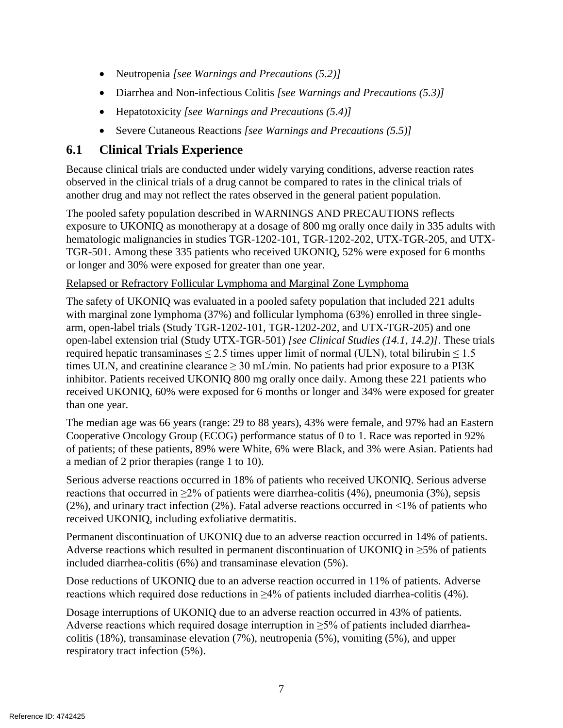- Neutropenia *[see Warnings and Precautions (5.2)]*
- Diarrhea and Non-infectious Colitis *[see Warnings and Precautions (5.3)]*
- Hepatotoxicity *[see Warnings and Precautions (5.4)]*
- Severe Cutaneous Reactions *[see Warnings and Precautions (5.5)]*

### **6.1 Clinical Trials Experience**

Because clinical trials are conducted under widely varying conditions, adverse reaction rates observed in the clinical trials of a drug cannot be compared to rates in the clinical trials of another drug and may not reflect the rates observed in the general patient population.

The pooled safety population described in WARNINGS AND PRECAUTIONS reflects exposure to UKONIQ as monotherapy at a dosage of 800 mg orally once daily in 335 adults with hematologic malignancies in studies TGR-1202-101, TGR-1202-202, UTX-TGR-205, and UTX-TGR-501. Among these 335 patients who received UKONIQ, 52% were exposed for 6 months or longer and 30% were exposed for greater than one year.

### Relapsed or Refractory Follicular Lymphoma and Marginal Zone Lymphoma

The safety of UKONIQ was evaluated in a pooled safety population that included 221 adults with marginal zone lymphoma (37%) and follicular lymphoma (63%) enrolled in three singlearm, open-label trials (Study TGR-1202-101, TGR-1202-202, and UTX-TGR-205) and one open-label extension trial (Study UTX-TGR-501) *[see Clinical Studies (14.1, 14.2)]*. These trials required hepatic transaminases  $\leq 2.5$  times upper limit of normal (ULN), total bilirubin  $\leq 1.5$ times ULN, and creatinine clearance  $\geq 30$  mL/min. No patients had prior exposure to a PI3K inhibitor. Patients received UKONIQ 800 mg orally once daily. Among these 221 patients who received UKONIQ, 60% were exposed for 6 months or longer and 34% were exposed for greater than one year.

The median age was 66 years (range: 29 to 88 years), 43% were female, and 97% had an Eastern Cooperative Oncology Group (ECOG) performance status of 0 to 1. Race was reported in 92% of patients; of these patients, 89% were White, 6% were Black, and 3% were Asian. Patients had a median of 2 prior therapies (range 1 to 10).

Serious adverse reactions occurred in 18% of patients who received UKONIQ. Serious adverse reactions that occurred in  $\geq 2\%$  of patients were diarrhea-colitis (4%), pneumonia (3%), sepsis (2%), and urinary tract infection (2%). Fatal adverse reactions occurred in  $\langle 1\%$  of patients who received UKONIQ, including exfoliative dermatitis.

Permanent discontinuation of UKONIQ due to an adverse reaction occurred in 14% of patients. Adverse reactions which resulted in permanent discontinuation of UKONIQ in  $\geq$ 5% of patients included diarrhea-colitis (6%) and transaminase elevation (5%).

Dose reductions of UKONIQ due to an adverse reaction occurred in 11% of patients. Adverse reactions which required dose reductions in  $\geq 4\%$  of patients included diarrhea-colitis (4%).

Dosage interruptions of UKONIQ due to an adverse reaction occurred in 43% of patients. Adverse reactions which required dosage interruption in  $\geq$ 5% of patients included diarrheacolitis (18%), transaminase elevation (7%), neutropenia (5%), vomiting (5%), and upper respiratory tract infection (5%).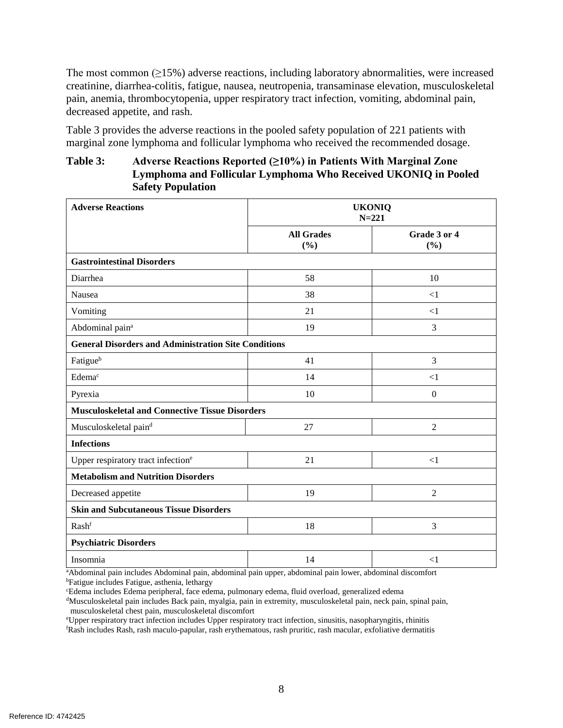The most common  $(\geq 15\%)$  adverse reactions, including laboratory abnormalities, were increased creatinine, diarrhea-colitis, fatigue, nausea, neutropenia, transaminase elevation, musculoskeletal pain, anemia, thrombocytopenia, upper respiratory tract infection, vomiting, abdominal pain, decreased appetite, and rash.

Table 3 provides the adverse reactions in the pooled safety population of 221 patients with marginal zone lymphoma and follicular lymphoma who received the recommended dosage.

### **Table 3: Adverse Reactions Reported (≥10%) in Patients With Marginal Zone Lymphoma and Follicular Lymphoma Who Received UKONIQ in Pooled Safety Population**

| <b>Adverse Reactions</b>                                    | <b>UKONIQ</b><br>$N = 221$ |                     |  |
|-------------------------------------------------------------|----------------------------|---------------------|--|
|                                                             | <b>All Grades</b><br>(%)   | Grade 3 or 4<br>(%) |  |
| <b>Gastrointestinal Disorders</b>                           |                            |                     |  |
| Diarrhea                                                    | 58                         | 10                  |  |
| Nausea                                                      | 38                         | $<$ 1               |  |
| Vomiting                                                    | 21                         | $\leq$ 1            |  |
| Abdominal pain <sup>a</sup>                                 | 19                         | 3                   |  |
| <b>General Disorders and Administration Site Conditions</b> |                            |                     |  |
| Fatigueb                                                    | 41                         | 3                   |  |
| Edema <sup>c</sup>                                          | 14                         | ${<}1$              |  |
| Pyrexia                                                     | 10                         | $\mathbf{0}$        |  |
| <b>Musculoskeletal and Connective Tissue Disorders</b>      |                            |                     |  |
| Musculoskeletal paind                                       | 27                         | $\overline{2}$      |  |
| <b>Infections</b>                                           |                            |                     |  |
| Upper respiratory tract infection <sup>e</sup>              | 21                         | $<$ 1               |  |
| <b>Metabolism and Nutrition Disorders</b>                   |                            |                     |  |
| Decreased appetite                                          | 19                         | 2                   |  |
| <b>Skin and Subcutaneous Tissue Disorders</b>               |                            |                     |  |
| Rashf                                                       | 18                         | 3                   |  |
| <b>Psychiatric Disorders</b>                                |                            |                     |  |
| Insomnia                                                    | 14                         | <1                  |  |

<sup>a</sup>Abdominal pain includes Abdominal pain, abdominal pain upper, abdominal pain lower, abdominal discomfort <sup>b</sup>Fatigue includes Fatigue, asthenia, lethargy

<sup>d</sup>Musculoskeletal pain includes Back pain, myalgia, pain in extremity, musculoskeletal pain, neck pain, spinal pain, musculoskeletal chest pain, musculoskeletal discomfort

<sup>e</sup>Upper respiratory tract infection includes Upper respiratory tract infection, sinusitis, nasopharyngitis, rhinitis <sup>f</sup>Rash includes Rash, rash maculo-papular, rash erythematous, rash pruritic, rash macular, exfoliative dermatitis

<sup>c</sup>Edema includes Edema peripheral, face edema, pulmonary edema, fluid overload, generalized edema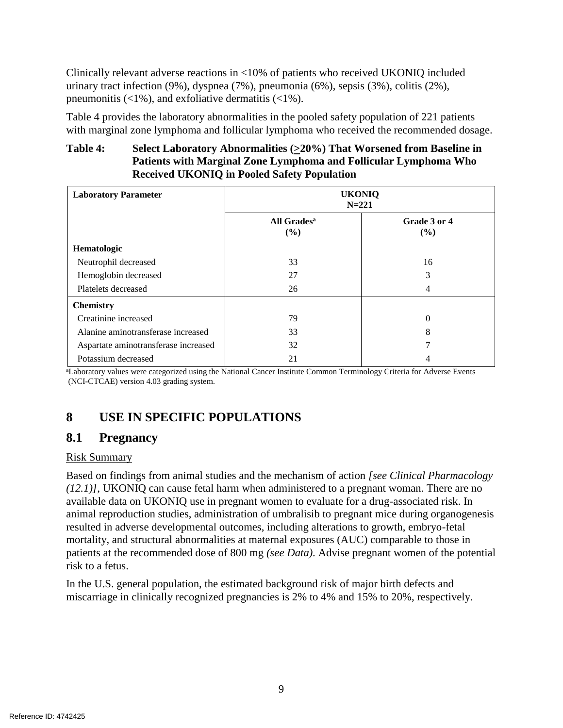Clinically relevant adverse reactions in <10% of patients who received UKONIQ included urinary tract infection (9%), dyspnea (7%), pneumonia (6%), sepsis (3%), colitis (2%), pneumonitis  $\left($ <1%), and exfoliative dermatitis  $\left($ <1%).

Table 4 provides the laboratory abnormalities in the pooled safety population of 221 patients with marginal zone lymphoma and follicular lymphoma who received the recommended dosage.

### **Table 4: Select Laboratory Abnormalities (>20%) That Worsened from Baseline in Patients with Marginal Zone Lymphoma and Follicular Lymphoma Who Received UKONIQ in Pooled Safety Population**

| <b>Laboratory Parameter</b>          | <b>UKONIQ</b><br>$N = 221$     |                     |
|--------------------------------------|--------------------------------|---------------------|
|                                      | All Grades <sup>a</sup><br>(%) | Grade 3 or 4<br>(%) |
| Hematologic                          |                                |                     |
| Neutrophil decreased                 | 33                             | 16                  |
| Hemoglobin decreased                 | 27                             | 3                   |
| Platelets decreased                  | 26                             | 4                   |
| <b>Chemistry</b>                     |                                |                     |
| Creatinine increased                 | 79                             | 0                   |
| Alanine aminotransferase increased   | 33                             | 8                   |
| Aspartate aminotransferase increased | 32                             |                     |
| Potassium decreased                  | 21                             |                     |

<sup>a</sup>Laboratory values were categorized using the National Cancer Institute Common Terminology Criteria for Adverse Events (NCI-CTCAE) version 4.03 grading system.

# **8 USE IN SPECIFIC POPULATIONS**

### **8.1 Pregnancy**

### Risk Summary

Based on findings from animal studies and the mechanism of action *[see Clinical Pharmacology (12.1)]*, UKONIQ can cause fetal harm when administered to a pregnant woman. There are no available data on UKONIQ use in pregnant women to evaluate for a drug-associated risk. In animal reproduction studies, administration of umbralisib to pregnant mice during organogenesis resulted in adverse developmental outcomes, including alterations to growth, embryo-fetal mortality, and structural abnormalities at maternal exposures (AUC) comparable to those in patients at the recommended dose of 800 mg *(see Data)*. Advise pregnant women of the potential risk to a fetus.

In the U.S. general population, the estimated background risk of major birth defects and miscarriage in clinically recognized pregnancies is 2% to 4% and 15% to 20%, respectively.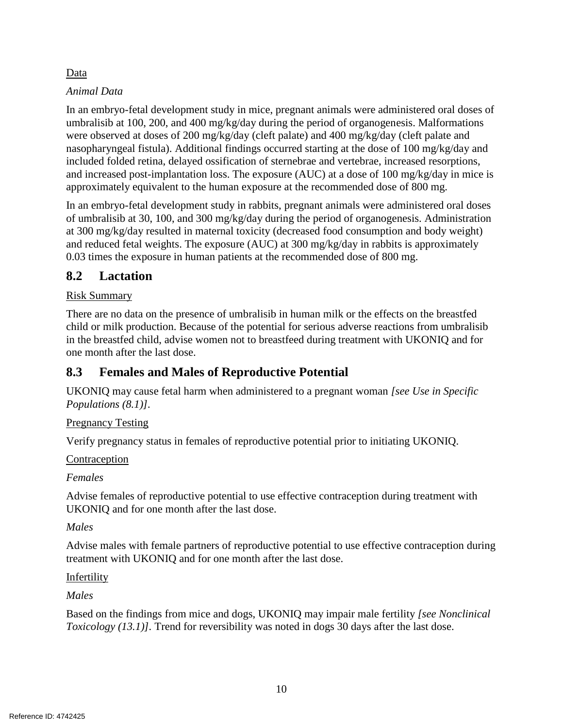### Data

### *Animal Data*

In an embryo-fetal development study in mice, pregnant animals were administered oral doses of umbralisib at 100, 200, and 400 mg/kg/day during the period of organogenesis. Malformations were observed at doses of 200 mg/kg/day (cleft palate) and 400 mg/kg/day (cleft palate and nasopharyngeal fistula). Additional findings occurred starting at the dose of 100 mg/kg/day and included folded retina, delayed ossification of sternebrae and vertebrae, increased resorptions, and increased post-implantation loss. The exposure (AUC) at a dose of 100 mg/kg/day in mice is approximately equivalent to the human exposure at the recommended dose of 800 mg.

In an embryo-fetal development study in rabbits, pregnant animals were administered oral doses of umbralisib at 30, 100, and 300 mg/kg/day during the period of organogenesis. Administration at 300 mg/kg/day resulted in maternal toxicity (decreased food consumption and body weight) and reduced fetal weights. The exposure (AUC) at 300 mg/kg/day in rabbits is approximately 0.03 times the exposure in human patients at the recommended dose of 800 mg.

### **8.2 Lactation**

### Risk Summary

There are no data on the presence of umbralisib in human milk or the effects on the breastfed child or milk production. Because of the potential for serious adverse reactions from umbralisib in the breastfed child, advise women not to breastfeed during treatment with UKONIQ and for one month after the last dose.

### **8.3 Females and Males of Reproductive Potential**

UKONIQ may cause fetal harm when administered to a pregnant woman *[see Use in Specific Populations (8.1)].*

### Pregnancy Testing

Verify pregnancy status in females of reproductive potential prior to initiating UKONIQ.

### **Contraception**

*Females*

Advise females of reproductive potential to use effective contraception during treatment with UKONIQ and for one month after the last dose.

### *Males*

Advise males with female partners of reproductive potential to use effective contraception during treatment with UKONIQ and for one month after the last dose.

### Infertility

*Males*

Based on the findings from mice and dogs, UKONIQ may impair male fertility *[see Nonclinical Toxicology* (13.1)]. Trend for reversibility was noted in dogs 30 days after the last dose.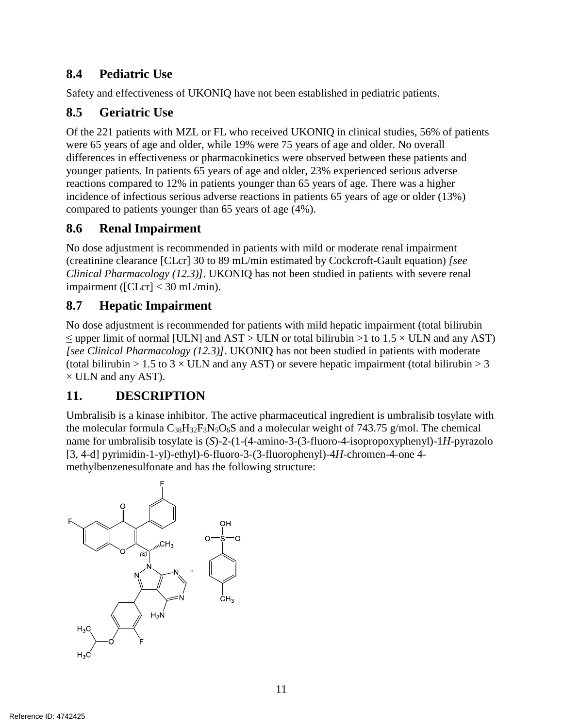### **8.4 Pediatric Use**

Safety and effectiveness of UKONIQ have not been established in pediatric patients.

## **8.5 Geriatric Use**

Of the 221 patients with MZL or FL who received UKONIQ in clinical studies, 56% of patients were 65 years of age and older, while 19% were 75 years of age and older. No overall differences in effectiveness or pharmacokinetics were observed between these patients and younger patients. In patients 65 years of age and older, 23% experienced serious adverse reactions compared to 12% in patients younger than 65 years of age. There was a higher incidence of infectious serious adverse reactions in patients 65 years of age or older (13%) compared to patients younger than 65 years of age (4%).

### **8.6 Renal Impairment**

No dose adjustment is recommended in patients with mild or moderate renal impairment (creatinine clearance [CLcr] 30 to 89 mL/min estimated by Cockcroft-Gault equation) *[see Clinical Pharmacology (12.3)]*. UKONIQ has not been studied in patients with severe renal impairment ([CLcr] < 30 mL/min).

### **8.7 Hepatic Impairment**

No dose adjustment is recommended for patients with mild hepatic impairment (total bilirubin  $\leq$  upper limit of normal [ULN] and AST > ULN or total bilirubin >1 to 1.5  $\times$  ULN and any AST) *[see Clinical Pharmacology (12.3)]*. UKONIQ has not been studied in patients with moderate (total bilirubin > 1.5 to 3  $\times$  ULN and any AST) or severe hepatic impairment (total bilirubin > 3  $\times$  ULN and any AST).

### **11. DESCRIPTION**

Umbralisib is a kinase inhibitor. The active pharmaceutical ingredient is umbralisib tosylate with the molecular formula  $C_{38}H_{32}F_3N_5O_6S$  and a molecular weight of 743.75 g/mol. The chemical name for umbralisib tosylate is (*S*)-2-(1-(4-amino-3-(3-fluoro-4-isopropoxyphenyl)-1*H*-pyrazolo [3, 4-d] pyrimidin-1-yl)-ethyl)-6-fluoro-3-(3-fluorophenyl)-4*H*-chromen-4-one 4 methylbenzenesulfonate and has the following structure:

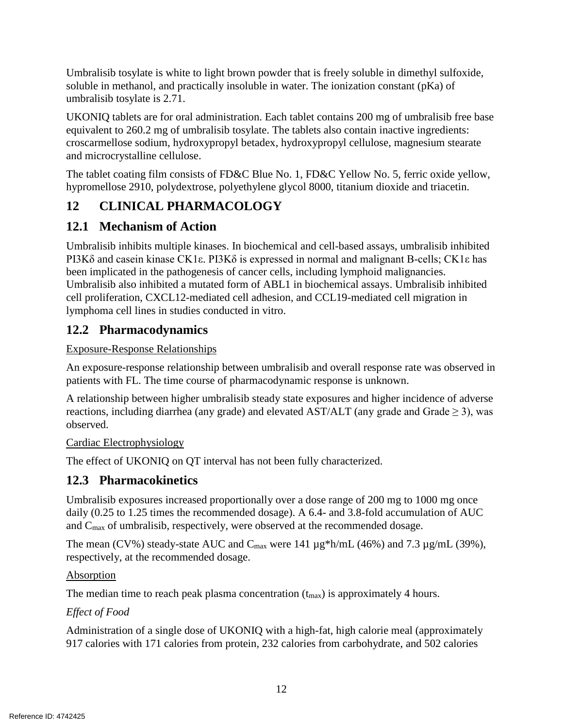Umbralisib tosylate is white to light brown powder that is freely soluble in dimethyl sulfoxide, soluble in methanol, and practically insoluble in water. The ionization constant (pKa) of umbralisib tosylate is 2.71.

UKONIQ tablets are for oral administration. Each tablet contains 200 mg of umbralisib free base equivalent to 260.2 mg of umbralisib tosylate. The tablets also contain inactive ingredients: croscarmellose sodium, hydroxypropyl betadex, hydroxypropyl cellulose, magnesium stearate and microcrystalline cellulose.

The tablet coating film consists of FD&C Blue No. 1, FD&C Yellow No. 5, ferric oxide yellow, hypromellose 2910, polydextrose, polyethylene glycol 8000, titanium dioxide and triacetin.

# **12 CLINICAL PHARMACOLOGY**

### **12.1 Mechanism of Action**

Umbralisib inhibits multiple kinases. In biochemical and cell-based assays, umbralisib inhibited PI3Kδ and casein kinase CK1ε. PI3Kδ is expressed in normal and malignant B-cells; CK1ε has been implicated in the pathogenesis of cancer cells, including lymphoid malignancies. Umbralisib also inhibited a mutated form of ABL1 in biochemical assays. Umbralisib inhibited cell proliferation, CXCL12-mediated cell adhesion, and CCL19-mediated cell migration in lymphoma cell lines in studies conducted in vitro.

### **12.2 Pharmacodynamics**

### Exposure-Response Relationships

An exposure-response relationship between umbralisib and overall response rate was observed in patients with FL. The time course of pharmacodynamic response is unknown.

A relationship between higher umbralisib steady state exposures and higher incidence of adverse reactions, including diarrhea (any grade) and elevated AST/ALT (any grade and Grade  $\geq$  3), was observed.

### Cardiac Electrophysiology

The effect of UKONIQ on QT interval has not been fully characterized.

### **12.3 Pharmacokinetics**

Umbralisib exposures increased proportionally over a dose range of 200 mg to 1000 mg once daily (0.25 to 1.25 times the recommended dosage). A 6.4- and 3.8-fold accumulation of AUC and Cmax of umbralisib, respectively, were observed at the recommended dosage.

The mean (CV%) steady-state AUC and  $C_{\text{max}}$  were 141  $\mu$ g\*h/mL (46%) and 7.3  $\mu$ g/mL (39%), respectively, at the recommended dosage.

### **Absorption**

The median time to reach peak plasma concentration  $(t_{\text{max}})$  is approximately 4 hours.

### *Effect of Food*

Administration of a single dose of UKONIQ with a high-fat, high calorie meal (approximately 917 calories with 171 calories from protein, 232 calories from carbohydrate, and 502 calories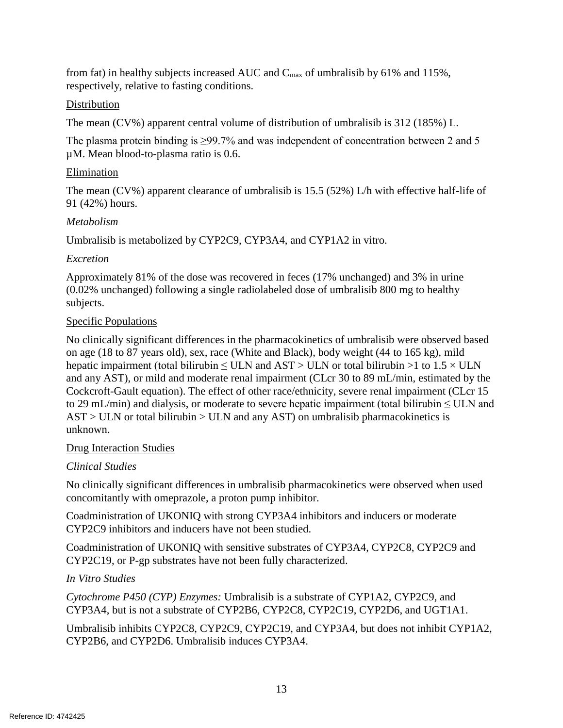from fat) in healthy subjects increased AUC and  $C_{\text{max}}$  of umbralisib by 61% and 115%, respectively, relative to fasting conditions.

### **Distribution**

The mean (CV%) apparent central volume of distribution of umbralisib is 312 (185%) L.

The plasma protein binding is ≥99.7% and was independent of concentration between 2 and 5 µM. Mean blood-to-plasma ratio is 0.6.

### Elimination

The mean (CV%) apparent clearance of umbralisib is 15.5 (52%) L/h with effective half-life of 91 (42%) hours.

### *Metabolism*

Umbralisib is metabolized by CYP2C9, CYP3A4, and CYP1A2 in vitro.

### *Excretion*

Approximately 81% of the dose was recovered in feces (17% unchanged) and 3% in urine (0.02% unchanged) following a single radiolabeled dose of umbralisib 800 mg to healthy subjects.

### Specific Populations

No clinically significant differences in the pharmacokinetics of umbralisib were observed based on age (18 to 87 years old), sex, race (White and Black), body weight (44 to 165 kg), mild hepatic impairment (total bilirubin  $\leq$  ULN and AST  $>$  ULN or total bilirubin  $>$ 1 to 1.5  $\times$  ULN and any AST), or mild and moderate renal impairment (CLcr 30 to 89 mL/min, estimated by the Cockcroft-Gault equation). The effect of other race/ethnicity, severe renal impairment (CLcr 15 to 29 mL/min) and dialysis, or moderate to severe hepatic impairment (total bilirubin  $\leq$  ULN and  $AST > ULN$  or total bilirubin  $> ULN$  and any AST) on umbralisib pharmacokinetics is unknown.

### Drug Interaction Studies

### *Clinical Studies*

No clinically significant differences in umbralisib pharmacokinetics were observed when used concomitantly with omeprazole, a proton pump inhibitor.

Coadministration of UKONIQ with strong CYP3A4 inhibitors and inducers or moderate CYP2C9 inhibitors and inducers have not been studied.

Coadministration of UKONIQ with sensitive substrates of CYP3A4, CYP2C8, CYP2C9 and CYP2C19, or P-gp substrates have not been fully characterized.

### *In Vitro Studies*

*Cytochrome P450 (CYP) Enzymes:* Umbralisib is a substrate of CYP1A2, CYP2C9, and CYP3A4, but is not a substrate of CYP2B6, CYP2C8, CYP2C19, CYP2D6, and UGT1A1.

Umbralisib inhibits CYP2C8, CYP2C9, CYP2C19, and CYP3A4, but does not inhibit CYP1A2, CYP2B6, and CYP2D6. Umbralisib induces CYP3A4.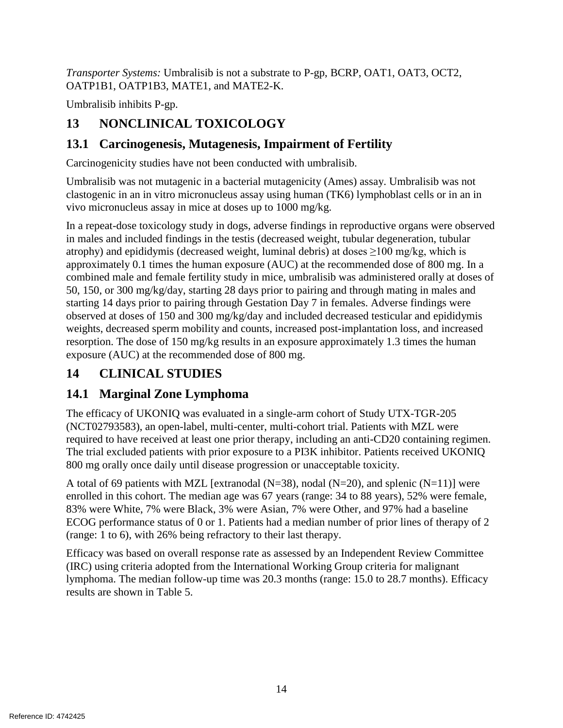*Transporter Systems:* Umbralisib is not a substrate to P-gp, BCRP, OAT1, OAT3, OCT2, OATP1B1, OATP1B3, MATE1, and MATE2-K.

Umbralisib inhibits P-gp.

# **13 NONCLINICAL TOXICOLOGY**

## **13.1 Carcinogenesis, Mutagenesis, Impairment of Fertility**

Carcinogenicity studies have not been conducted with umbralisib.

Umbralisib was not mutagenic in a bacterial mutagenicity (Ames) assay. Umbralisib was not clastogenic in an in vitro micronucleus assay using human (TK6) lymphoblast cells or in an in vivo micronucleus assay in mice at doses up to 1000 mg/kg.

In a repeat-dose toxicology study in dogs, adverse findings in reproductive organs were observed in males and included findings in the testis (decreased weight, tubular degeneration, tubular atrophy) and epididymis (decreased weight, luminal debris) at doses  $\geq$ 100 mg/kg, which is approximately 0.1 times the human exposure (AUC) at the recommended dose of 800 mg. In a combined male and female fertility study in mice, umbralisib was administered orally at doses of 50, 150, or 300 mg/kg/day, starting 28 days prior to pairing and through mating in males and starting 14 days prior to pairing through Gestation Day 7 in females. Adverse findings were observed at doses of 150 and 300 mg/kg/day and included decreased testicular and epididymis weights, decreased sperm mobility and counts, increased post-implantation loss, and increased resorption. The dose of 150 mg/kg results in an exposure approximately 1.3 times the human exposure (AUC) at the recommended dose of 800 mg.

# **14 CLINICAL STUDIES**

# **14.1 Marginal Zone Lymphoma**

The efficacy of UKONIQ was evaluated in a single-arm cohort of Study UTX-TGR-205 (NCT02793583), an open-label, multi-center, multi-cohort trial. Patients with MZL were required to have received at least one prior therapy, including an anti-CD20 containing regimen. The trial excluded patients with prior exposure to a PI3K inhibitor. Patients received UKONIQ 800 mg orally once daily until disease progression or unacceptable toxicity.

A total of 69 patients with MZL [extranodal (N=38), nodal (N=20), and splenic (N=11)] were enrolled in this cohort. The median age was 67 years (range: 34 to 88 years), 52% were female, 83% were White, 7% were Black, 3% were Asian, 7% were Other, and 97% had a baseline ECOG performance status of 0 or 1. Patients had a median number of prior lines of therapy of 2 (range: 1 to 6), with 26% being refractory to their last therapy.

Efficacy was based on overall response rate as assessed by an Independent Review Committee (IRC) using criteria adopted from the International Working Group criteria for malignant lymphoma. The median follow-up time was 20.3 months (range: 15.0 to 28.7 months). Efficacy results are shown in Table 5.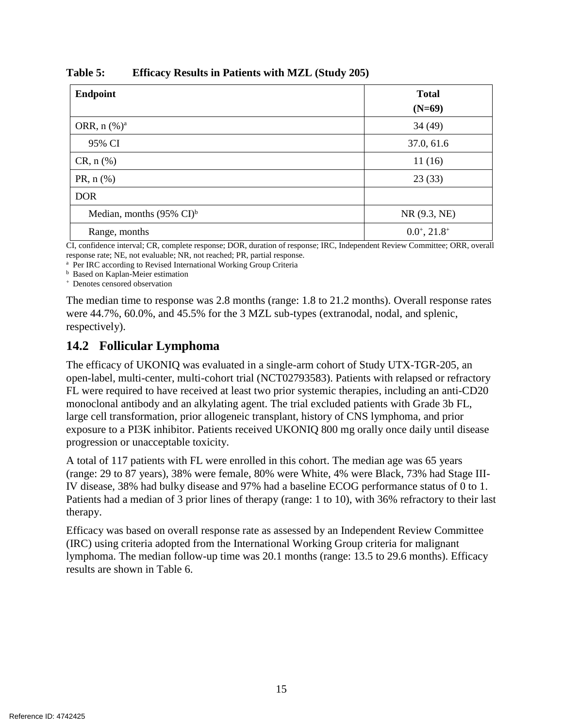| <b>Endpoint</b>                      | <b>Total</b><br>$(N=69)$    |
|--------------------------------------|-----------------------------|
| ORR, $n\ (\%)^a$                     | 34(49)                      |
| 95% CI                               | 37.0, 61.6                  |
| $CR, n$ (%)                          | 11(16)                      |
| PR, $n$ (%)                          | 23(33)                      |
| <b>DOR</b>                           |                             |
| Median, months $(95\% \text{ CI})^b$ | NR (9.3, NE)                |
| Range, months                        | $0.0^{\circ}, 21.8^{\circ}$ |

**Table 5: Efficacy Results in Patients with MZL (Study 205)**

CI, confidence interval; CR, complete response; DOR, duration of response; IRC, Independent Review Committee; ORR, overall response rate; NE, not evaluable; NR, not reached; PR, partial response.

<sup>a</sup> Per IRC according to Revised International Working Group Criteria

**b** Based on Kaplan-Meier estimation

<sup>+</sup> Denotes censored observation

The median time to response was 2.8 months (range: 1.8 to 21.2 months). Overall response rates were 44.7%, 60.0%, and 45.5% for the 3 MZL sub-types (extranodal, nodal, and splenic, respectively).

### **14.2 Follicular Lymphoma**

The efficacy of UKONIQ was evaluated in a single-arm cohort of Study UTX-TGR-205, an open-label, multi-center, multi-cohort trial (NCT02793583). Patients with relapsed or refractory FL were required to have received at least two prior systemic therapies, including an anti-CD20 monoclonal antibody and an alkylating agent. The trial excluded patients with Grade 3b FL, large cell transformation, prior allogeneic transplant, history of CNS lymphoma, and prior exposure to a PI3K inhibitor. Patients received UKONIQ 800 mg orally once daily until disease progression or unacceptable toxicity.

A total of 117 patients with FL were enrolled in this cohort. The median age was 65 years (range: 29 to 87 years), 38% were female, 80% were White, 4% were Black, 73% had Stage III-IV disease, 38% had bulky disease and 97% had a baseline ECOG performance status of 0 to 1. Patients had a median of 3 prior lines of therapy (range: 1 to 10), with 36% refractory to their last therapy.

Efficacy was based on overall response rate as assessed by an Independent Review Committee (IRC) using criteria adopted from the International Working Group criteria for malignant lymphoma. The median follow-up time was 20.1 months (range: 13.5 to 29.6 months). Efficacy results are shown in Table 6.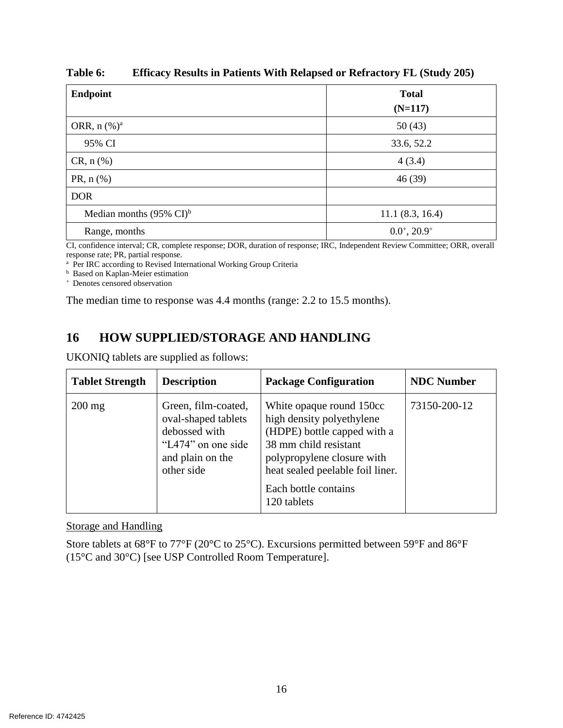| <b>Endpoint</b>                     | <b>Total</b><br>$(N=117)$   |
|-------------------------------------|-----------------------------|
| ORR, $n$ (%) <sup>a</sup>           | 50(43)                      |
| 95% CI                              | 33.6, 52.2                  |
| $CR, n$ (%)                         | 4(3.4)                      |
| PR, $n$ (%)                         | 46(39)                      |
| <b>DOR</b>                          |                             |
| Median months $(95\% \text{ CI})^b$ | 11.1(8.3, 16.4)             |
| Range, months                       | $0.0^{\circ}, 20.9^{\circ}$ |

**Table 6: Efficacy Results in Patients With Relapsed or Refractory FL (Study 205)**

CI, confidence interval; CR, complete response; DOR, duration of response; IRC, Independent Review Committee; ORR, overall response rate; PR, partial response.

<sup>a</sup> Per IRC according to Revised International Working Group Criteria

<sup>b</sup> Based on Kaplan-Meier estimation

<sup>+</sup> Denotes censored observation

The median time to response was 4.4 months (range: 2.2 to 15.5 months).

# **16 HOW SUPPLIED/STORAGE AND HANDLING**

UKONIQ tablets are supplied as follows:

| <b>Tablet Strength</b> | <b>Description</b>                                                                                                  | <b>Package Configuration</b>                                                                                                                                                                                           | <b>NDC Number</b> |
|------------------------|---------------------------------------------------------------------------------------------------------------------|------------------------------------------------------------------------------------------------------------------------------------------------------------------------------------------------------------------------|-------------------|
| $200 \text{ mg}$       | Green, film-coated,<br>oval-shaped tablets<br>debossed with<br>"L474" on one side<br>and plain on the<br>other side | White opaque round 150cc<br>high density polyethylene<br>(HDPE) bottle capped with a<br>38 mm child resistant<br>polypropylene closure with<br>heat sealed peelable foil liner.<br>Each bottle contains<br>120 tablets | 73150-200-12      |

Storage and Handling

Store tablets at 68°F to 77°F (20°C to 25°C). Excursions permitted between 59°F and 86°F (15°C and 30°C) [see USP Controlled Room Temperature].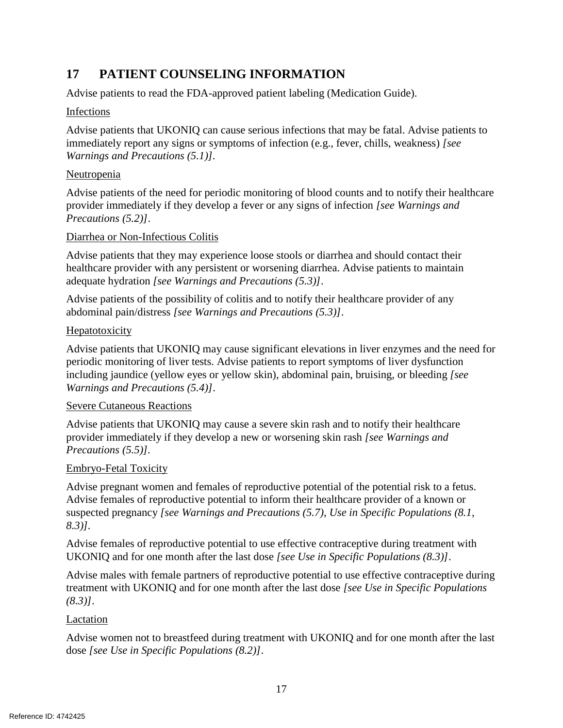## **17 PATIENT COUNSELING INFORMATION**

Advise patients to read the FDA-approved patient labeling (Medication Guide).

### Infections

Advise patients that UKONIQ can cause serious infections that may be fatal. Advise patients to immediately report any signs or symptoms of infection (e.g., fever, chills, weakness) *[see Warnings and Precautions (5.1)].*

### Neutropenia

Advise patients of the need for periodic monitoring of blood counts and to notify their healthcare provider immediately if they develop a fever or any signs of infection *[see Warnings and Precautions (5.2)]*.

### Diarrhea or Non-Infectious Colitis

Advise patients that they may experience loose stools or diarrhea and should contact their healthcare provider with any persistent or worsening diarrhea. Advise patients to maintain adequate hydration *[see Warnings and Precautions (5.3)]*.

Advise patients of the possibility of colitis and to notify their healthcare provider of any abdominal pain/distress *[see Warnings and Precautions (5.3)]*.

### **Hepatotoxicity**

Advise patients that UKONIQ may cause significant elevations in liver enzymes and the need for periodic monitoring of liver tests. Advise patients to report symptoms of liver dysfunction including jaundice (yellow eyes or yellow skin), abdominal pain, bruising, or bleeding *[see Warnings and Precautions (5.4)]*.

### Severe Cutaneous Reactions

Advise patients that UKONIQ may cause a severe skin rash and to notify their healthcare provider immediately if they develop a new or worsening skin rash *[see Warnings and Precautions (5.5)].*

### Embryo-Fetal Toxicity

Advise pregnant women and females of reproductive potential of the potential risk to a fetus. Advise females of reproductive potential to inform their healthcare provider of a known or suspected pregnancy *[see Warnings and Precautions (5.7)*, *Use in Specific Populations (8.1, 8.3)].*

Advise females of reproductive potential to use effective contraceptive during treatment with UKONIQ and for one month after the last dose *[see Use in Specific Populations (8.3)]*.

Advise males with female partners of reproductive potential to use effective contraceptive during treatment with UKONIQ and for one month after the last dose *[see Use in Specific Populations (8.3)]*.

### Lactation

Advise women not to breastfeed during treatment with UKONIQ and for one month after the last dose *[see Use in Specific Populations (8.2)]*.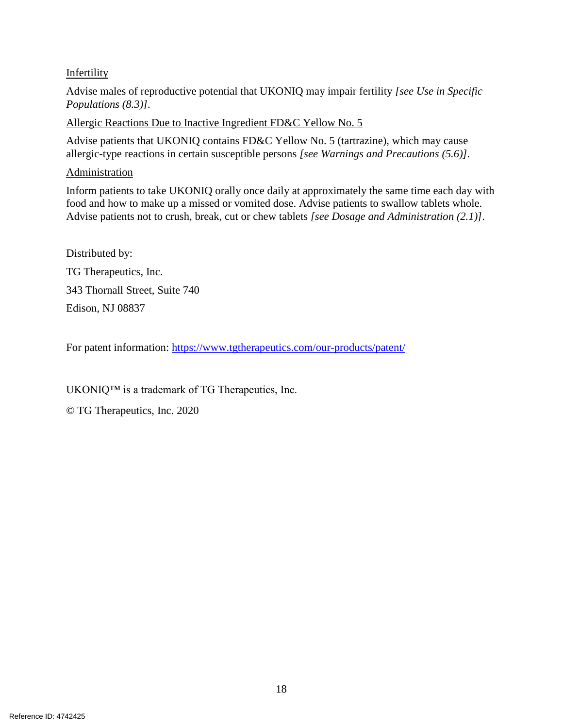### Infertility

Advise males of reproductive potential that UKONIQ may impair fertility *[see Use in Specific Populations (8.3)].*

Allergic Reactions Due to Inactive Ingredient FD&C Yellow No. 5

Advise patients that UKONIQ contains FD&C Yellow No. 5 (tartrazine), which may cause allergic-type reactions in certain susceptible persons *[see Warnings and Precautions (5.6)].*

### Administration

Inform patients to take UKONIQ orally once daily at approximately the same time each day with food and how to make up a missed or vomited dose. Advise patients to swallow tablets whole. Advise patients not to crush, break, cut or chew tablets *[see Dosage and Administration (2.1)]*.

Distributed by: TG Therapeutics, Inc. 343 Thornall Street, Suite 740 Edison, NJ 08837

For patent information:<https://www.tgtherapeutics.com/our-products/patent/>

UKONIQ™ is a trademark of TG Therapeutics, Inc.

© TG Therapeutics, Inc. 2020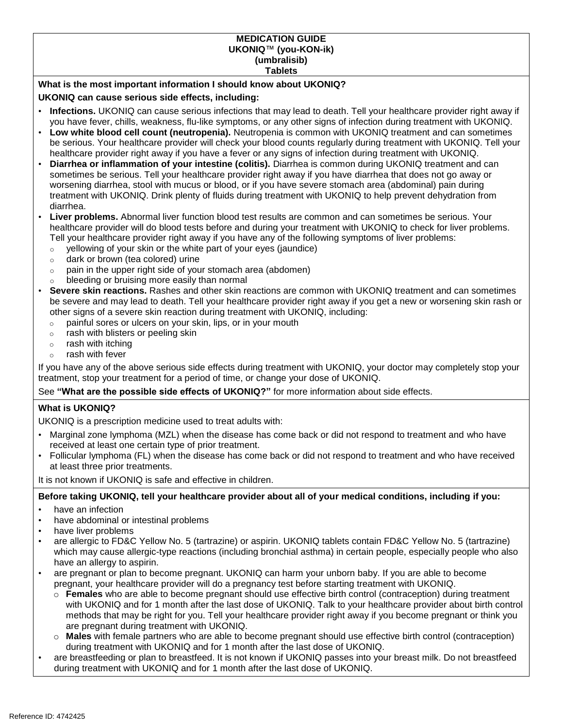#### **MEDICATION GUIDE UKONIQ**™ **(you-KON-ik) (umbralisib) Tablets**

#### **What is the most important information I should know about UKONIQ?**

#### **UKONIQ can cause serious side effects, including:**

- **Infections.** UKONIQ can cause serious infections that may lead to death. Tell your healthcare provider right away if you have fever, chills, weakness, flu-like symptoms, or any other signs of infection during treatment with UKONIQ.
- **Low white blood cell count (neutropenia).** Neutropenia is common with UKONIQ treatment and can sometimes be serious. Your healthcare provider will check your blood counts regularly during treatment with UKONIQ. Tell your healthcare provider right away if you have a fever or any signs of infection during treatment with UKONIQ.
- **Diarrhea or inflammation of your intestine (colitis).** Diarrhea is common during UKONIQ treatment and can sometimes be serious. Tell your healthcare provider right away if you have diarrhea that does not go away or worsening diarrhea, stool with mucus or blood, or if you have severe stomach area (abdominal) pain during treatment with UKONIQ. Drink plenty of fluids during treatment with UKONIQ to help prevent dehydration from diarrhea.
- **Liver problems.** Abnormal liver function blood test results are common and can sometimes be serious. Your healthcare provider will do blood tests before and during your treatment with UKONIQ to check for liver problems. Tell your healthcare provider right away if you have any of the following symptoms of liver problems:
	- $\circ$  yellowing of your skin or the white part of your eyes (jaundice)
	- o dark or brown (tea colored) urine
	- $\circ$  pain in the upper right side of your stomach area (abdomen)
	- bleeding or bruising more easily than normal
- **Severe skin reactions.** Rashes and other skin reactions are common with UKONIQ treatment and can sometimes be severe and may lead to death. Tell your healthcare provider right away if you get a new or worsening skin rash or other signs of a severe skin reaction during treatment with UKONIQ, including:
	- o painful sores or ulcers on your skin, lips, or in your mouth
	- o rash with blisters or peeling skin
	- $\circ$  rash with itching
	- o rash with fever

If you have any of the above serious side effects during treatment with UKONIQ, your doctor may completely stop your treatment, stop your treatment for a period of time, or change your dose of UKONIQ.

See **"What are the possible side effects of UKONIQ?"** for more information about side effects.

#### **What is UKONIQ?**

UKONIQ is a prescription medicine used to treat adults with:

- Marginal zone lymphoma (MZL) when the disease has come back or did not respond to treatment and who have received at least one certain type of prior treatment.
- Follicular lymphoma (FL) when the disease has come back or did not respond to treatment and who have received at least three prior treatments.

It is not known if UKONIQ is safe and effective in children.

#### **Before taking UKONIQ, tell your healthcare provider about all of your medical conditions, including if you:**

- have an infection
- have abdominal or intestinal problems
- have liver problems
- are allergic to FD&C Yellow No. 5 (tartrazine) or aspirin. UKONIQ tablets contain FD&C Yellow No. 5 (tartrazine) which may cause allergic-type reactions (including bronchial asthma) in certain people, especially people who also have an allergy to aspirin.
- are pregnant or plan to become pregnant. UKONIQ can harm your unborn baby. If you are able to become pregnant, your healthcare provider will do a pregnancy test before starting treatment with UKONIQ.
	- o **Females** who are able to become pregnant should use effective birth control (contraception) during treatment with UKONIQ and for 1 month after the last dose of UKONIQ. Talk to your healthcare provider about birth control methods that may be right for you. Tell your healthcare provider right away if you become pregnant or think you are pregnant during treatment with UKONIQ.
	- o **Males** with female partners who are able to become pregnant should use effective birth control (contraception) during treatment with UKONIQ and for 1 month after the last dose of UKONIQ.
- are breastfeeding or plan to breastfeed. It is not known if UKONIQ passes into your breast milk. Do not breastfeed during treatment with UKONIQ and for 1 month after the last dose of UKONIQ.